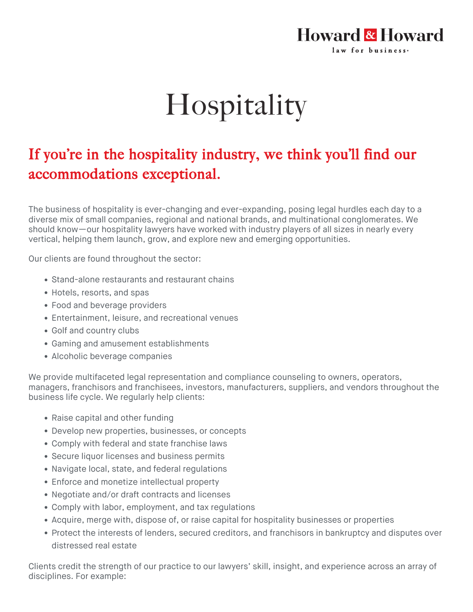## Howard & Howard law for business.

## Hospitality

## If you're in the hospitality industry, we think you'll find our accommodations exceptional.

The business of hospitality is ever-changing and ever-expanding, posing legal hurdles each day to a diverse mix of small companies, regional and national brands, and multinational conglomerates. We should know—our hospitality lawyers have worked with industry players of all sizes in nearly every vertical, helping them launch, grow, and explore new and emerging opportunities.

Our clients are found throughout the sector:

- Stand-alone restaurants and restaurant chains
- Hotels, resorts, and spas
- Food and beverage providers
- Entertainment, leisure, and recreational venues
- Golf and country clubs
- Gaming and amusement establishments
- Alcoholic beverage companies

We provide multifaceted legal representation and compliance counseling to owners, operators, managers, franchisors and franchisees, investors, manufacturers, suppliers, and vendors throughout the business life cycle. We regularly help clients:

- Raise capital and other funding
- Develop new properties, businesses, or concepts
- Comply with federal and state franchise laws
- Secure liquor licenses and business permits
- Navigate local, state, and federal regulations
- Enforce and monetize intellectual property
- Negotiate and/or draft contracts and licenses
- Comply with labor, employment, and tax regulations
- Acquire, merge with, dispose of, or raise capital for hospitality businesses or properties
- Protect the interests of lenders, secured creditors, and franchisors in bankruptcy and disputes over distressed real estate

Clients credit the strength of our practice to our lawyers' skill, insight, and experience across an array of disciplines. For example: